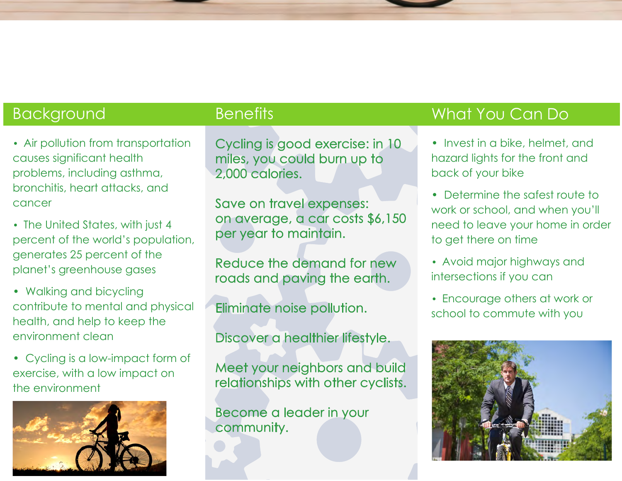- Air pollution from transportation causes significant health problems, including asthma, bronchitis, heart attacks, and cancer
- The United States, with just 4 percent of the world's population, generates 25 percent of the planet's greenhouse gases
- Walking and bicycling contribute to mental and physical health, and help to keep the environment clean
- Cycling is a low-impact form of exercise, with a low impact on the environment



Cycling is good exercise: in 10 miles, you could burn up to 2,000 calories.

Save on travel expenses: on average, a car costs \$6,150 per year to maintain.

Reduce the demand for new roads and paving the earth.

Eliminate noise pollution.

Discover a healthier lifestyle.

Meet your neighbors and build relationships with other cyclists.

Become a leader in your community.

# Background Benefits Benefits What You Can Do

- Invest in a bike, helmet, and hazard lights for the front and back of your bike
- Determine the safest route to work or school, and when you'll need to leave your home in order to get there on time
- Avoid major highways and intersections if you can
- Encourage others at work or school to commute with you